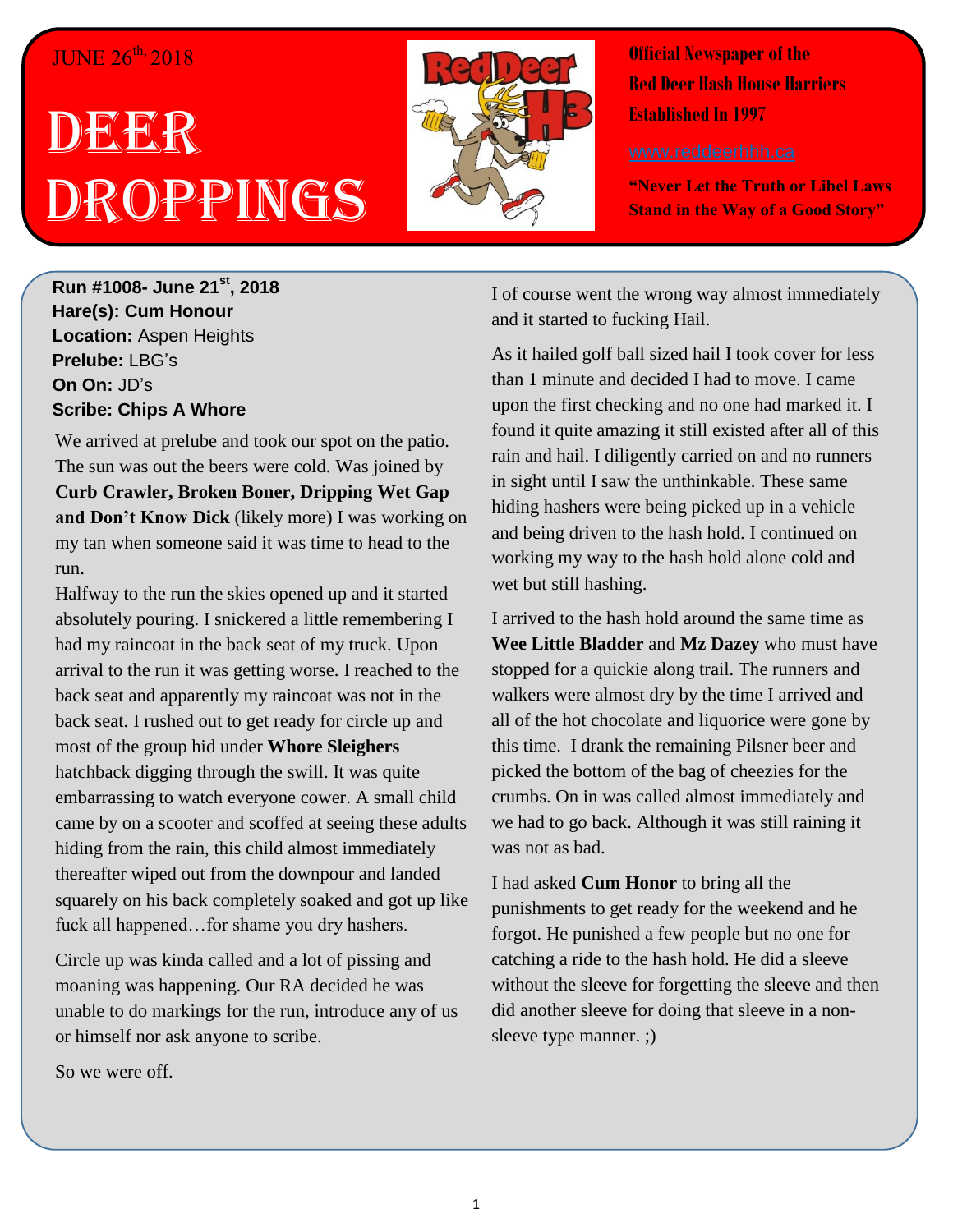#### JUNE 26<sup>th,</sup> 2018

# DES DER Droppings



**Official Newspaper of the Red Deer Hash House Harriers Established In 1997** 

**"Never Let the Truth or Libel Laws Stand in the Way of a Good Story"**

**Run #1008- June 21st, 2018 Hare(s): Cum Honour Location:** Aspen Heights **Prelube:** LBG's **On On:** JD's **Scribe: Chips A Whore**

We arrived at prelube and took our spot on the patio. The sun was out the beers were cold. Was joined by **Curb Crawler, Broken Boner, Dripping Wet Gap and Don't Know Dick** (likely more) I was working on my tan when someone said it was time to head to the run.

Halfway to the run the skies opened up and it started absolutely pouring. I snickered a little remembering I had my raincoat in the back seat of my truck. Upon arrival to the run it was getting worse. I reached to the back seat and apparently my raincoat was not in the back seat. I rushed out to get ready for circle up and most of the group hid under **Whore Sleighers** hatchback digging through the swill. It was quite embarrassing to watch everyone cower. A small child came by on a scooter and scoffed at seeing these adults hiding from the rain, this child almost immediately thereafter wiped out from the downpour and landed squarely on his back completely soaked and got up like fuck all happened…for shame you dry hashers.

Circle up was kinda called and a lot of pissing and moaning was happening. Our RA decided he was unable to do markings for the run, introduce any of us or himself nor ask anyone to scribe.

So we were off.

I of course went the wrong way almost immediately and it started to fucking Hail.

As it hailed golf ball sized hail I took cover for less than 1 minute and decided I had to move. I came upon the first checking and no one had marked it. I found it quite amazing it still existed after all of this rain and hail. I diligently carried on and no runners in sight until I saw the unthinkable. These same hiding hashers were being picked up in a vehicle and being driven to the hash hold. I continued on working my way to the hash hold alone cold and wet but still hashing.

I arrived to the hash hold around the same time as **Wee Little Bladder** and **Mz Dazey** who must have stopped for a quickie along trail. The runners and walkers were almost dry by the time I arrived and all of the hot chocolate and liquorice were gone by this time. I drank the remaining Pilsner beer and picked the bottom of the bag of cheezies for the crumbs. On in was called almost immediately and we had to go back. Although it was still raining it was not as bad.

I had asked **Cum Honor** to bring all the punishments to get ready for the weekend and he forgot. He punished a few people but no one for catching a ride to the hash hold. He did a sleeve without the sleeve for forgetting the sleeve and then did another sleeve for doing that sleeve in a nonsleeve type manner. ;